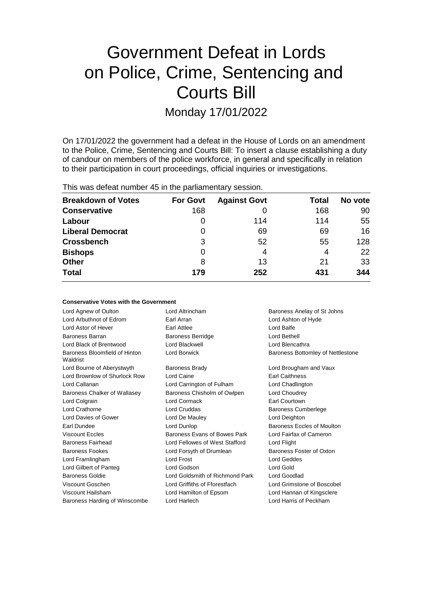# Government Defeat in Lords on Police, Crime, Sentencing and Courts Bill

Monday 17/01/2022

On 17/01/2022 the government had a defeat in the House of Lords on an amendment to the Police, Crime, Sentencing and Courts Bill: To insert a clause establishing a duty of candour on members of the police workforce, in general and specifically in relation to their participation in court proceedings, official inquiries or investigations.

This was defeat number 45 in the parliamentary session.

| <b>Breakdown of Votes</b> | <b>For Govt</b> | <b>Against Govt</b> | Total | No vote |
|---------------------------|-----------------|---------------------|-------|---------|
| <b>Conservative</b>       | 168             | 0                   | 168   | 90      |
| Labour                    | 0               | 114                 | 114   | 55      |
| <b>Liberal Democrat</b>   | 0               | 69                  | 69    | 16      |
| <b>Crossbench</b>         | 3               | 52                  | 55    | 128     |
| <b>Bishops</b>            | 0               | 4                   | 4     | 22      |
| <b>Other</b>              | 8               | 13                  | 21    | 33      |
| <b>Total</b>              | 179             | 252                 | 431   | 344     |

#### **Conservative Votes with the Government**

| Lord Agnew of Oulton                      | Lord Altrincham                 | Baroness Anelay of St Johns       |
|-------------------------------------------|---------------------------------|-----------------------------------|
| Lord Arbuthnot of Edrom                   | Earl Arran                      | Lord Ashton of Hyde               |
| Lord Astor of Hever                       | Earl Attlee                     | Lord Balfe                        |
| <b>Baroness Barran</b>                    | <b>Baroness Berridge</b>        | Lord Bethell                      |
| Lord Black of Brentwood                   | Lord Blackwell                  | Lord Blencathra                   |
| Baroness Bloomfield of Hinton<br>Waldrist | Lord Borwick                    | Baroness Bottomley of Nettlestone |
| Lord Bourne of Aberystwyth                | <b>Baroness Brady</b>           | Lord Brougham and Vaux            |
| Lord Brownlow of Shurlock Row             | Lord Caine                      | <b>Earl Caithness</b>             |
| Lord Callanan                             | Lord Carrington of Fulham       | Lord Chadlington                  |
| Baroness Chalker of Wallasey              | Baroness Chisholm of Owlpen     | Lord Choudrey                     |
| Lord Colgrain                             | Lord Cormack                    | Earl Courtown                     |
| Lord Crathorne                            | Lord Cruddas                    | <b>Baroness Cumberlege</b>        |
| Lord Davies of Gower                      | Lord De Mauley                  | Lord Deighton                     |
| Earl Dundee                               | Lord Dunlop                     | Baroness Eccles of Moulton        |
| Viscount Eccles                           | Baroness Evans of Bowes Park    | Lord Fairfax of Cameron           |
| <b>Baroness Fairhead</b>                  | Lord Fellowes of West Stafford  | Lord Flight                       |
| <b>Baroness Fookes</b>                    | Lord Forsyth of Drumlean        | Baroness Foster of Oxton          |
| Lord Framlingham                          | Lord Frost                      | Lord Geddes                       |
| Lord Gilbert of Panteg                    | Lord Godson                     | Lord Gold                         |
| <b>Baroness Goldie</b>                    | Lord Goldsmith of Richmond Park | Lord Goodlad                      |
| Viscount Goschen                          | Lord Griffiths of Fforestfach   | Lord Grimstone of Boscobel        |
| Viscount Hailsham                         | Lord Hamilton of Epsom          | Lord Hannan of Kingsclere         |
| Baroness Harding of Winscombe             | Lord Harlech                    | Lord Harris of Peckham            |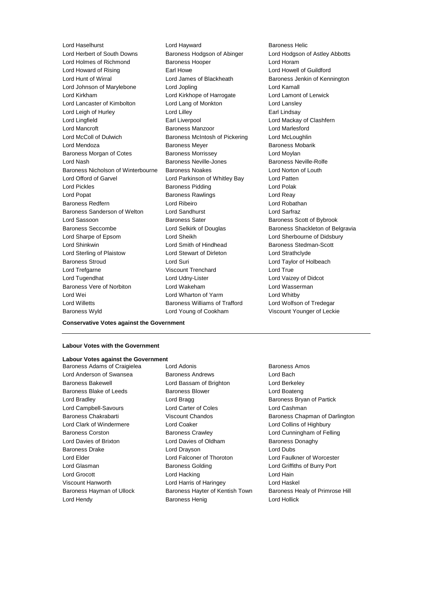Lord Herbert of South Downs Baroness Hodgson of Abinger Lord Hodgson of Astley Abbotts Lord Holmes of Richmond Baroness Hooper Lord Horam Lord Howard of Rising Earl Howe Lord Howell of Guildford Lord Hunt of Wirral Lord James of Blackheath Baroness Jenkin of Kennington Lord Johnson of Marylebone Lord Jopling Lord Kamall Lord Kirkham Lord Kirkhope of Harrogate Lord Lamont of Lerwick Lord Lancaster of Kimbolton Lord Lang of Monkton Lord Lansley Lord Leigh of Hurley Lord Lilley Earl Lindsay Lord Lingfield **Earl Liverpool** Earl Liverpool **Earl Lord Mackay of Clashfern** Lord Mancroft Baroness Manzoor Lord Marlesford Lord McColl of Dulwich Baroness McIntosh of Pickering Lord McLoughlin Lord Mendoza Baroness Meyer Baroness Mobarik Baroness Morgan of Cotes Baroness Morrissey Cord Moylan Lord Nash **Baroness Neville-Jones** Baroness Neville-Rolfe Baroness Nicholson of Winterbourne Baroness Noakes Lord Norton of Louth Lord Offord of Garvel Lord Parkinson of Whitley Bay Lord Patten Lord Pickles **Baroness Pidding** Lord Polak Lord Popat **Baroness Rawlings** Lord Reay Baroness Redfern Lord Ribeiro Lord Robathan Baroness Sanderson of Welton Lord Sandhurst Lord Sarfraz Lord Sassoon **Baroness Sater** Baroness Scott of Bybrook Baroness Seccombe **Lord Selkirk of Douglas** Baroness Shackleton of Belgravia Lord Sharpe of Epsom Lord Sheikh Lord Sherbourne of Didsbury Lord Shinkwin **Example 2** Lord Smith of Hindhead Baroness Stedman-Scott Lord Sterling of Plaistow Lord Stewart of Dirleton Lord Strathclyde Baroness Stroud Lord Suri Lord Taylor of Holbeach Lord Trefgarne **Viscount Trenchard** Lord True Lord Tugendhat Lord Udny-Lister Lord Vaizey of Didcot Baroness Vere of Norbiton Lord Wakeham Lord Wasserman Lord Wei **Lord Wharton of Yarm** Cord Whatby Lord Whitby Lord Willetts **Baroness Williams of Trafford** Lord Wolfson of Tredegar

Lord Haselhurst Lord Hayward Baroness Helic Baroness Wyld Lord Young of Cookham Viscount Younger of Leckie

#### **Conservative Votes against the Government**

#### **Labour Votes with the Government**

#### **Labour Votes against the Government**

Baroness Adams of Craigielea Lord Adonis Communication Baroness Amos Lord Anderson of Swansea Baroness Andrews Lord Bach Baroness Bakewell Lord Bassam of Brighton Lord Berkeley Baroness Blake of Leeds **Baroness Blower** Baroness Blower **Lord Boateng** Lord Bradley **Lord Bragg Community** Lord Bragg Baroness Bryan of Partick Lord Campbell-Savours Lord Carter of Coles Lord Cashman Lord Clark of Windermere Lord Coaker Lord Collins of Highbury Baroness Corston Baroness Crawley Lord Cunningham of Felling Lord Davies of Brixton Lord Davies of Oldham Baroness Donaghy Baroness Drake Lord Drayson Lord Dubs Lord Elder Lord Falconer of Thoroton Lord Faulkner of Worcester Lord Glasman **Baroness Golding Community** Lord Griffiths of Burry Port Lord Grocott **Lord Hacking** Lord Hacking **Lord Hain** Viscount Hanworth Lord Harris of Haringey Lord Haskel Lord Hendy Baroness Henig Lord Hollick

Baroness Chakrabarti **Viscount Chandos** Baroness Chapman of Darlington Baroness Hayman of Ullock Baroness Hayter of Kentish Town Baroness Healy of Primrose Hill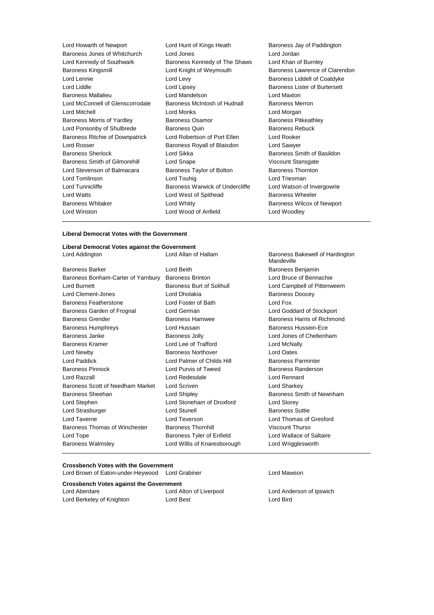| Lord Hunt of Kings Heath        | Baroness Jay of Paddington           |
|---------------------------------|--------------------------------------|
| Lord Jones                      | Lord Jordan                          |
| Baroness Kennedy of The Shaws   | Lord Khan of Burnley                 |
| Lord Knight of Weymouth         | Baroness Lawrence of Clarer          |
| Lord Levy                       | Baroness Liddell of Coatdyke         |
| Lord Lipsey                     | <b>Baroness Lister of Burtersett</b> |
| Lord Mandelson                  | Lord Maxton                          |
| Baroness McIntosh of Hudnall    | <b>Baroness Merron</b>               |
| Lord Monks                      | Lord Morgan                          |
| <b>Baroness Osamor</b>          | <b>Baroness Pitkeathley</b>          |
| <b>Baroness Quin</b>            | <b>Baroness Rebuck</b>               |
| Lord Robertson of Port Ellen    | Lord Rooker                          |
| Baroness Royall of Blaisdon     | Lord Sawyer                          |
| Lord Sikka                      | Baroness Smith of Basildon           |
| Lord Snape                      | Viscount Stansgate                   |
| Baroness Taylor of Bolton       | <b>Baroness Thornton</b>             |
| Lord Touhig                     | Lord Triesman                        |
| Baroness Warwick of Undercliffe | Lord Watson of Invergowrie           |
| Lord West of Spithead           | <b>Baroness Wheeler</b>              |
| Lord Whitty                     | Baroness Wilcox of Newport           |
| Lord Wood of Anfield            | Lord Woodley                         |
|                                 |                                      |

ace of Clarendon

#### **Liberal Democrat Votes with the Government**

## **Liberal Democrat Votes against the Government**

Baroness Barker **Communist Constructed Baroness Benjamin** Lord Beith **Baroness Benjamin** Baroness Bonham-Carter of Yarnbury Baroness Brinton **Lord Bruce of Bennachie** Lord Burnett Baroness Burt of Solihull Lord Campbell of Pittenweem Lord Clement-Jones **Lord Dholakia Example 20** Baroness Doocey Baroness Featherstone Lord Foster of Bath Lord Fox Baroness Garden of Frognal Lord German Lord Goddard of Stockport Baroness Grender **Baroness Hamwee** Baroness Hamwee **Baroness Hammed Baroness Harris of Richmond** Baroness Humphreys **Exercise Exercise Exercise Contracts** Baroness Hussein-Ece Baroness Janke **Baroness Jolly** Baroness Jolly **Lord Jones of Cheltenham** Baroness Kramer Lord Lee of Trafford Lord McNally Lord Newby Baroness Northover Lord Oates Lord Paddick Lord Palmer of Childs Hill Baroness Parminter Baroness Pinnock **Lord Purvis of Tweed** Baroness Randerson Lord Razzall Lord Redesdale Lord Rennard Baroness Scott of Needham Market Lord Scriven Lord Sharkey Lord Sharkey Baroness Sheehan **Baroness** Sheehan Lord Shipley **Baroness Smith of Newnham** Lord Stephen Lord Stoneham of Droxford Lord Storey Lord Strasburger **Lord Stunell** Baroness Suttie Lord Taverne Lord Teverson Lord Thomas of Gresford Baroness Thomas of Winchester Baroness Thornhill Viscount Thurso Lord Tope **Baroness Tyler of Enfield** Lord Wallace of Saltaire Baroness Walmsley Lord Willis of Knaresborough Lord Wrigglesworth

Baroness Bakewell of Hardington Mandeville

#### **Crossbench Votes with the Government**

**Crossbench Votes against the Government** Lord Brown of Eaton-under-Heywood Lord Grabiner **Lord Lord Mawson** 

| Lord Aberdare             | Lord Alton of Liverpool | Lord And  |
|---------------------------|-------------------------|-----------|
| Lord Berkeley of Knighton | Lord Best               | Lord Bird |

Lord Anderson of Ipswich